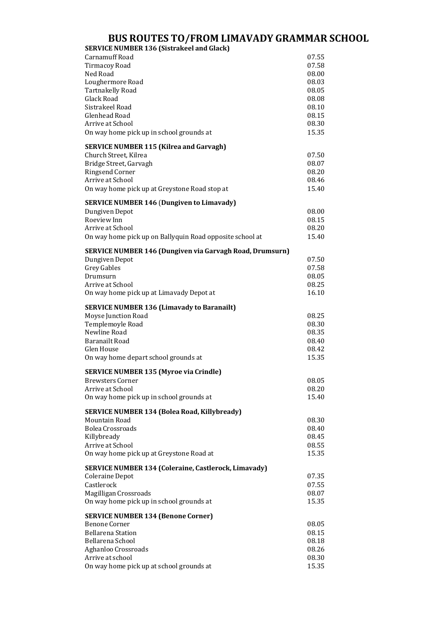## **BUS ROUTES TO/FROM LIMAVADY GRAMMAR SCHOOL**

| <b>SERVICE NUMBER 136 (Sistrakeel and Glack)</b>                |                |
|-----------------------------------------------------------------|----------------|
| <b>Carnamuff Road</b>                                           | 07.55          |
| <b>Tirmacoy Road</b>                                            | 07.58          |
| Ned Road                                                        | 08.00          |
| Loughermore Road                                                | 08.03          |
| <b>Tartnakelly Road</b><br>Glack Road                           | 08.05          |
| Sistrakeel Road                                                 | 08.08<br>08.10 |
| Glenhead Road                                                   | 08.15          |
| Arrive at School                                                | 08.30          |
| On way home pick up in school grounds at                        | 15.35          |
|                                                                 |                |
| <b>SERVICE NUMBER 115 (Kilrea and Garvagh)</b>                  |                |
| Church Street, Kilrea                                           | 07.50          |
| Bridge Street, Garvagh                                          | 08.07          |
| Ringsend Corner                                                 | 08.20<br>08.46 |
| Arrive at School                                                |                |
| On way home pick up at Greystone Road stop at                   | 15.40          |
| <b>SERVICE NUMBER 146 (Dungiven to Limavady)</b>                |                |
| Dungiven Depot                                                  | 08.00          |
| Roeview Inn                                                     | 08.15          |
| Arrive at School                                                | 08.20          |
| On way home pick up on Ballyquin Road opposite school at        | 15.40          |
| <b>SERVICE NUMBER 146 (Dungiven via Garvagh Road, Drumsurn)</b> |                |
| Dungiven Depot                                                  | 07.50          |
| <b>Grey Gables</b>                                              | 07.58          |
| Drumsurn                                                        | 08.05          |
| Arrive at School                                                | 08.25          |
| On way home pick up at Limavady Depot at                        | 16.10          |
|                                                                 |                |
| <b>SERVICE NUMBER 136 (Limavady to Baranailt)</b>               |                |
| Moyse Junction Road                                             | 08.25          |
| Templemoyle Road                                                | 08.30          |
| Newline Road                                                    | 08.35          |
| <b>Baranailt Road</b>                                           | 08.40          |
| Glen House<br>On way home depart school grounds at              | 08.42<br>15.35 |
|                                                                 |                |
| <b>SERVICE NUMBER 135 (Myroe via Crindle)</b>                   |                |
| Brewsters Corner                                                | 08.05          |
| Arrive at School                                                | 08.20          |
| On way home pick up in school grounds at                        | 15.40          |
| <b>SERVICE NUMBER 134 (Bolea Road, Killybready)</b>             |                |
| Mountain Road                                                   | 08.30          |
| <b>Bolea Crossroads</b>                                         | 08.40          |
| Killybready                                                     | 08.45          |
| Arrive at School                                                | 08.55          |
| On way home pick up at Greystone Road at                        | 15.35          |
| <b>SERVICE NUMBER 134 (Coleraine, Castlerock, Limavady)</b>     |                |
| Coleraine Depot                                                 | 07.35          |
| Castlerock                                                      | 07.55          |
| Magilligan Crossroads                                           | 08.07          |
| On way home pick up in school grounds at                        | 15.35          |
|                                                                 |                |
| <b>SERVICE NUMBER 134 (Benone Corner)</b>                       |                |
| <b>Benone Corner</b>                                            | 08.05          |
| <b>Bellarena Station</b><br>Bellarena School                    | 08.15          |
|                                                                 | 08.18<br>08.26 |
| Aghanloo Crossroads<br>Arrive at school                         | 08.30          |
| On way home pick up at school grounds at                        | 15.35          |
|                                                                 |                |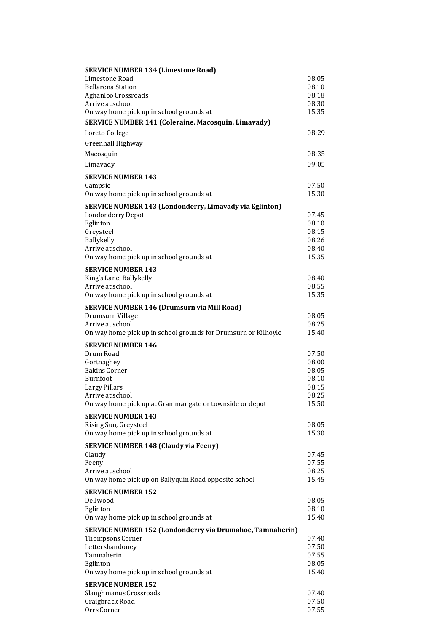| <b>SERVICE NUMBER 134 (Limestone Road)</b>                       |                |
|------------------------------------------------------------------|----------------|
| Limestone Road                                                   | 08.05          |
| <b>Bellarena Station</b>                                         | 08.10          |
| Aghanloo Crossroads                                              | 08.18          |
| Arrive at school                                                 | 08.30          |
| On way home pick up in school grounds at                         | 15.35          |
| <b>SERVICE NUMBER 141 (Coleraine, Macosquin, Limavady)</b>       |                |
| Loreto College                                                   | 08:29          |
| Greenhall Highway                                                |                |
| Macosquin                                                        | 08:35          |
| Limavady                                                         | 09:05          |
|                                                                  |                |
| <b>SERVICE NUMBER 143</b>                                        |                |
| Campsie                                                          | 07.50          |
| On way home pick up in school grounds at                         | 15.30          |
| <b>SERVICE NUMBER 143 (Londonderry, Limavady via Eglinton)</b>   |                |
| Londonderry Depot                                                | 07.45          |
| Eglinton                                                         | 08.10          |
| Greysteel                                                        | 08.15          |
| Ballykelly                                                       | 08.26          |
| Arrive at school                                                 | 08.40          |
| On way home pick up in school grounds at                         | 15.35          |
| <b>SERVICE NUMBER 143</b>                                        |                |
| King's Lane, Ballykelly                                          | 08.40          |
| Arrive at school                                                 | 08.55          |
| On way home pick up in school grounds at                         | 15.35          |
| <b>SERVICE NUMBER 146 (Drumsurn via Mill Road)</b>               |                |
| Drumsurn Village                                                 | 08.05          |
| Arrive at school                                                 | 08.25          |
| On way home pick up in school grounds for Drumsurn or Kilhoyle   | 15.40          |
| <b>SERVICE NUMBER 146</b>                                        |                |
| Drum Road                                                        | 07.50          |
| Gortnaghey                                                       | 08.00          |
| Eakins Corner                                                    | 08.05          |
|                                                                  |                |
| Burnfoot                                                         | 08.10          |
| Largy Pillars                                                    | 08.15          |
| Arrive at school                                                 | 08.25          |
| On way home pick up at Grammar gate or townside or depot         | 15.50          |
|                                                                  |                |
| <b>SERVICE NUMBER 143</b>                                        |                |
| Rising Sun, Greysteel                                            | 08.05<br>15.30 |
| On way home pick up in school grounds at                         |                |
| <b>SERVICE NUMBER 148 (Claudy via Feeny)</b>                     |                |
| Claudy                                                           | 07.45          |
| Feeny                                                            | 07.55          |
| Arrive at school                                                 | 08.25          |
| On way home pick up on Ballyquin Road opposite school            | 15.45          |
| <b>SERVICE NUMBER 152</b>                                        |                |
| Dellwood                                                         | 08.05          |
| Eglinton                                                         | 08.10          |
| On way home pick up in school grounds at                         | 15.40          |
| <b>SERVICE NUMBER 152 (Londonderry via Drumahoe, Tamnaherin)</b> |                |
| Thompsons Corner                                                 | 07.40          |
| Lettershandoney                                                  | 07.50          |
| Tamnaherin                                                       | 07.55          |
| Eglinton                                                         | 08.05          |
| On way home pick up in school grounds at                         | 15.40          |
| <b>SERVICE NUMBER 152</b>                                        |                |
| Slaughmanus Crossroads                                           | 07.40          |
| Craigbrack Road<br>Orrs Corner                                   | 07.50<br>07.55 |